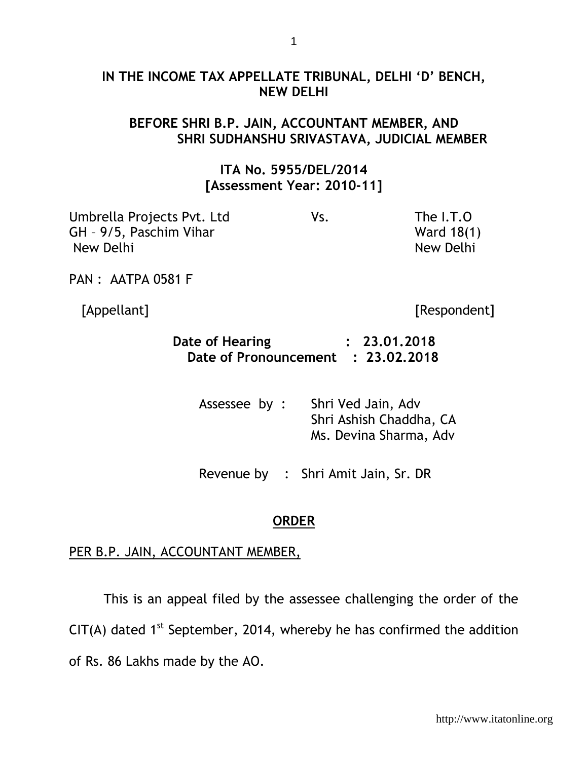### **IN THE INCOME TAX APPELLATE TRIBUNAL, DELHI 'D' BENCH, NEW DELHI**

# **BEFORE SHRI B.P. JAIN, ACCOUNTANT MEMBER, AND SHRI SUDHANSHU SRIVASTAVA, JUDICIAL MEMBER**

## **ITA No. 5955/DEL/2014 [Assessment Year: 2010-11]**

| Vs. | The I.T.O  |
|-----|------------|
|     | Ward 18(1) |
|     | New Delhi  |
|     |            |

PAN : AATPA 0581 F

[Appellant] [Respondent]

| Date of Hearing                    | : 23.01,2018 |
|------------------------------------|--------------|
| Date of Pronouncement : 23.02.2018 |              |

| Assessee by : | Shri Ved Jain, Adv      |
|---------------|-------------------------|
|               | Shri Ashish Chaddha, CA |
|               | Ms. Devina Sharma, Adv  |

Revenue by : Shri Amit Jain, Sr. DR

#### **ORDER**

#### PER B.P. JAIN, ACCOUNTANT MEMBER,

This is an appeal filed by the assessee challenging the order of the  $CIT(A)$  dated 1<sup>st</sup> September, 2014, whereby he has confirmed the addition of Rs. 86 Lakhs made by the AO.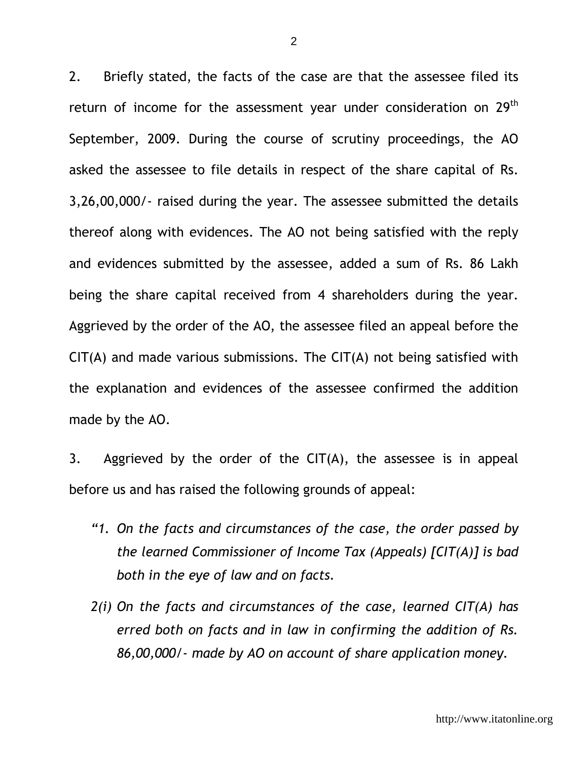2. Briefly stated, the facts of the case are that the assessee filed its return of income for the assessment year under consideration on 29<sup>th</sup> September, 2009. During the course of scrutiny proceedings, the AO asked the assessee to file details in respect of the share capital of Rs. 3,26,00,000/- raised during the year. The assessee submitted the details thereof along with evidences. The AO not being satisfied with the reply and evidences submitted by the assessee, added a sum of Rs. 86 Lakh being the share capital received from 4 shareholders during the year. Aggrieved by the order of the AO, the assessee filed an appeal before the  $CIT(A)$  and made various submissions. The  $CIT(A)$  not being satisfied with the explanation and evidences of the assessee confirmed the addition made by the AO.

3. Aggrieved by the order of the  $CIT(A)$ , the assessee is in appeal before us and has raised the following grounds of appeal:

- *"1. On the facts and circumstances of the case, the order passed by the learned Commissioner of Income Tax (Appeals) [CIT(A)] is bad both in the eye of law and on facts.*
- *2(i) On the facts and circumstances of the case, learned CIT(A) has erred both on facts and in law in confirming the addition of Rs. 86,00,000/- made by AO on account of share application money.*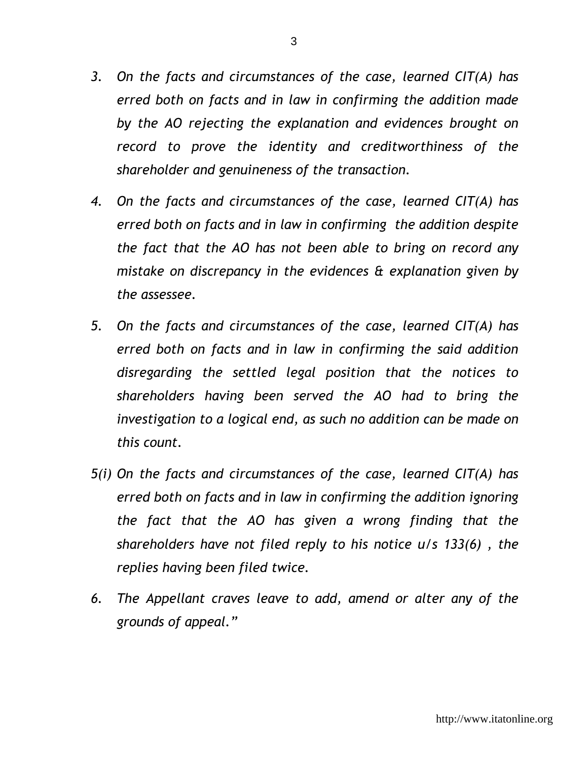- *3. On the facts and circumstances of the case, learned CIT(A) has erred both on facts and in law in confirming the addition made by the AO rejecting the explanation and evidences brought on record to prove the identity and creditworthiness of the shareholder and genuineness of the transaction.*
- *4. On the facts and circumstances of the case, learned CIT(A) has erred both on facts and in law in confirming the addition despite the fact that the AO has not been able to bring on record any mistake on discrepancy in the evidences & explanation given by the assessee.*
- *5. On the facts and circumstances of the case, learned CIT(A) has erred both on facts and in law in confirming the said addition disregarding the settled legal position that the notices to shareholders having been served the AO had to bring the investigation to a logical end, as such no addition can be made on this count.*
- *5(i) On the facts and circumstances of the case, learned CIT(A) has erred both on facts and in law in confirming the addition ignoring the fact that the AO has given a wrong finding that the shareholders have not filed reply to his notice u/s 133(6) , the replies having been filed twice.*
- *6. The Appellant craves leave to add, amend or alter any of the grounds of appeal."*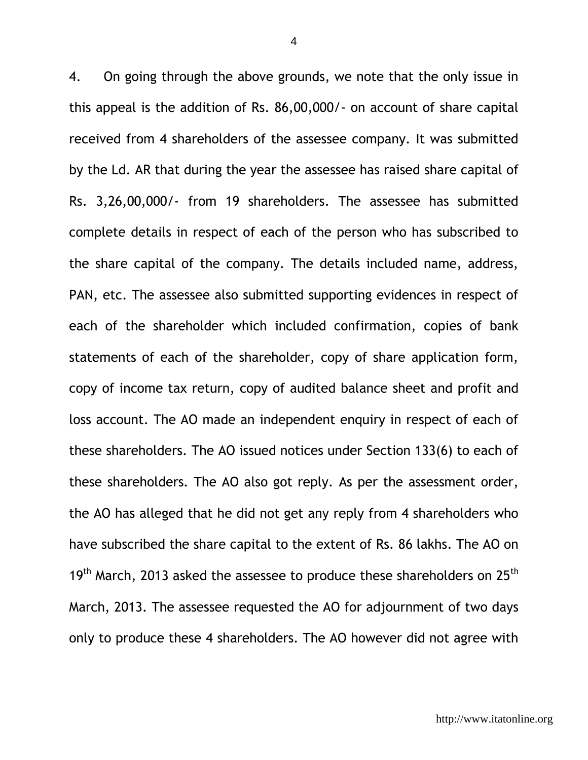4. On going through the above grounds, we note that the only issue in this appeal is the addition of Rs. 86,00,000/- on account of share capital received from 4 shareholders of the assessee company. It was submitted by the Ld. AR that during the year the assessee has raised share capital of Rs. 3,26,00,000/- from 19 shareholders. The assessee has submitted complete details in respect of each of the person who has subscribed to the share capital of the company. The details included name, address, PAN, etc. The assessee also submitted supporting evidences in respect of each of the shareholder which included confirmation, copies of bank statements of each of the shareholder, copy of share application form, copy of income tax return, copy of audited balance sheet and profit and loss account. The AO made an independent enquiry in respect of each of these shareholders. The AO issued notices under Section 133(6) to each of these shareholders. The AO also got reply. As per the assessment order, the AO has alleged that he did not get any reply from 4 shareholders who have subscribed the share capital to the extent of Rs. 86 lakhs. The AO on  $19<sup>th</sup>$  March, 2013 asked the assessee to produce these shareholders on 25<sup>th</sup> March, 2013. The assessee requested the AO for adjournment of two days only to produce these 4 shareholders. The AO however did not agree with

4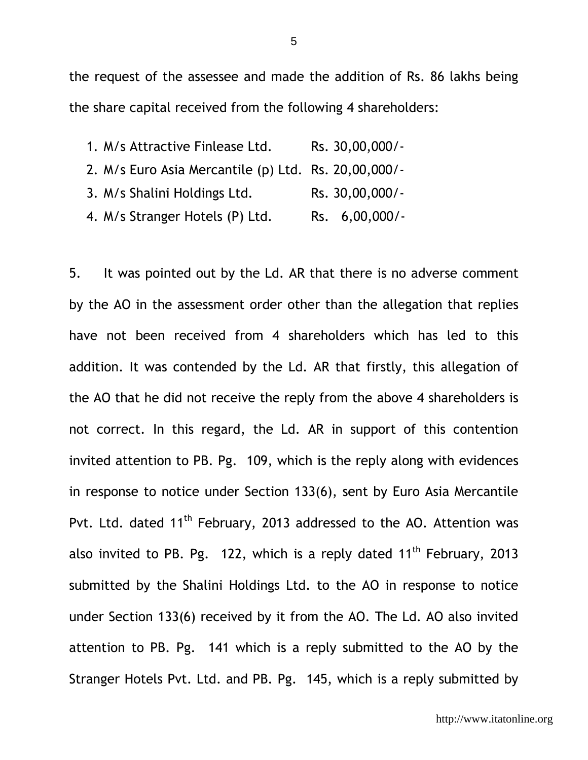the request of the assessee and made the addition of Rs. 86 lakhs being the share capital received from the following 4 shareholders:

1. M/s Attractive Finlease Ltd. Rs. 30,00,000/- 2. M/s Euro Asia Mercantile (p) Ltd. Rs. 20,00,000/- 3. M/s Shalini Holdings Ltd. Rs. 30,00,000/-4. M/s Stranger Hotels (P) Ltd. Rs. 6,00,000/-

5. It was pointed out by the Ld. AR that there is no adverse comment by the AO in the assessment order other than the allegation that replies have not been received from 4 shareholders which has led to this addition. It was contended by the Ld. AR that firstly, this allegation of the AO that he did not receive the reply from the above 4 shareholders is not correct. In this regard, the Ld. AR in support of this contention invited attention to PB. Pg. 109, which is the reply along with evidences in response to notice under Section 133(6), sent by Euro Asia Mercantile Pvt. Ltd. dated 11<sup>th</sup> February, 2013 addressed to the AO. Attention was also invited to PB. Pg. 122, which is a reply dated  $11<sup>th</sup>$  February, 2013 submitted by the Shalini Holdings Ltd. to the AO in response to notice under Section 133(6) received by it from the AO. The Ld. AO also invited attention to PB. Pg. 141 which is a reply submitted to the AO by the Stranger Hotels Pvt. Ltd. and PB. Pg. 145, which is a reply submitted by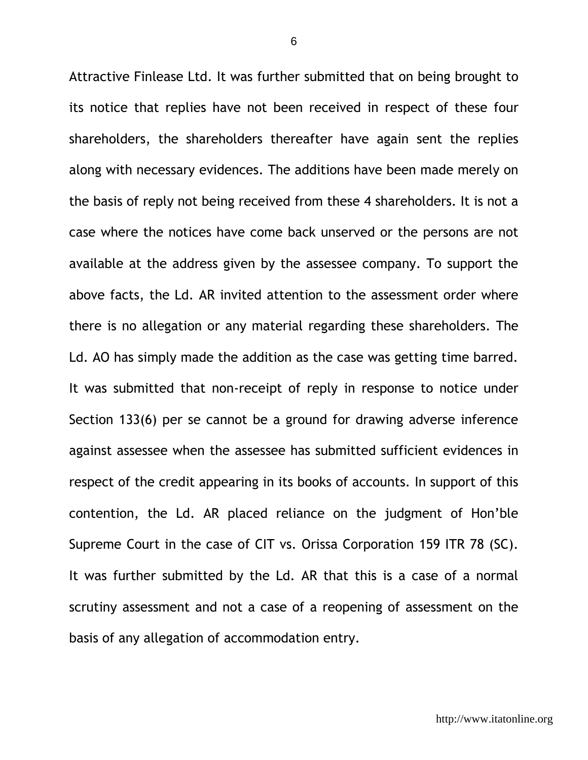Attractive Finlease Ltd. It was further submitted that on being brought to its notice that replies have not been received in respect of these four shareholders, the shareholders thereafter have again sent the replies along with necessary evidences. The additions have been made merely on the basis of reply not being received from these 4 shareholders. It is not a case where the notices have come back unserved or the persons are not available at the address given by the assessee company. To support the above facts, the Ld. AR invited attention to the assessment order where there is no allegation or any material regarding these shareholders. The Ld. AO has simply made the addition as the case was getting time barred. It was submitted that non-receipt of reply in response to notice under Section 133(6) per se cannot be a ground for drawing adverse inference against assessee when the assessee has submitted sufficient evidences in respect of the credit appearing in its books of accounts. In support of this contention, the Ld. AR placed reliance on the judgment of Hon'ble Supreme Court in the case of CIT vs. Orissa Corporation 159 ITR 78 (SC). It was further submitted by the Ld. AR that this is a case of a normal scrutiny assessment and not a case of a reopening of assessment on the basis of any allegation of accommodation entry.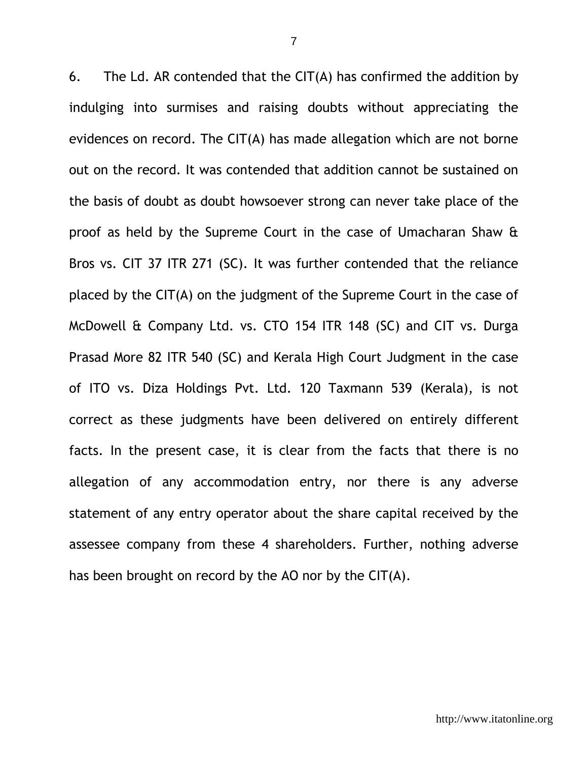6. The Ld. AR contended that the  $CIT(A)$  has confirmed the addition by indulging into surmises and raising doubts without appreciating the evidences on record. The CIT(A) has made allegation which are not borne out on the record. It was contended that addition cannot be sustained on the basis of doubt as doubt howsoever strong can never take place of the proof as held by the Supreme Court in the case of Umacharan Shaw & Bros vs. CIT 37 ITR 271 (SC). It was further contended that the reliance placed by the CIT(A) on the judgment of the Supreme Court in the case of McDowell & Company Ltd. vs. CTO 154 ITR 148 (SC) and CIT vs. Durga Prasad More 82 ITR 540 (SC) and Kerala High Court Judgment in the case of ITO vs. Diza Holdings Pvt. Ltd. 120 Taxmann 539 (Kerala), is not correct as these judgments have been delivered on entirely different facts. In the present case, it is clear from the facts that there is no allegation of any accommodation entry, nor there is any adverse statement of any entry operator about the share capital received by the assessee company from these 4 shareholders. Further, nothing adverse has been brought on record by the AO nor by the CIT(A).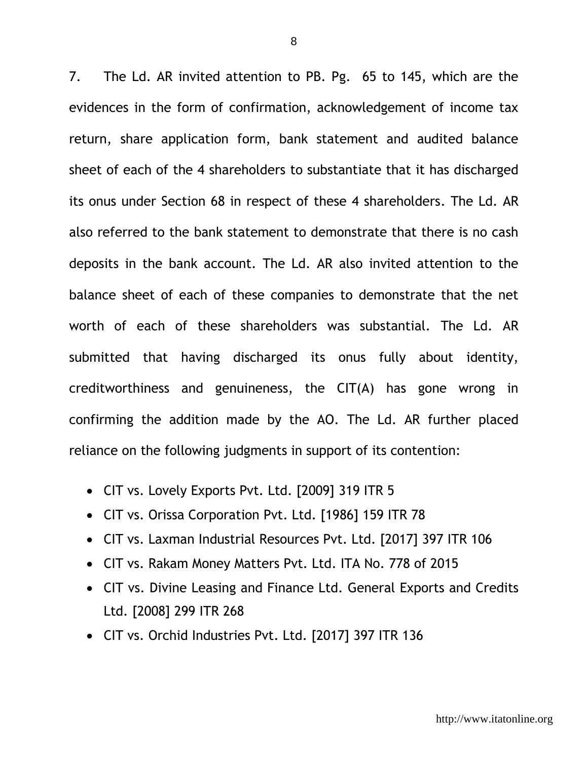7. The Ld. AR invited attention to PB. Pg. 65 to 145, which are the evidences in the form of confirmation, acknowledgement of income tax return, share application form, bank statement and audited balance sheet of each of the 4 shareholders to substantiate that it has discharged its onus under Section 68 in respect of these 4 shareholders. The Ld. AR also referred to the bank statement to demonstrate that there is no cash deposits in the bank account. The Ld. AR also invited attention to the balance sheet of each of these companies to demonstrate that the net worth of each of these shareholders was substantial. The Ld. AR submitted that having discharged its onus fully about identity, creditworthiness and genuineness, the CIT(A) has gone wrong in confirming the addition made by the AO. The Ld. AR further placed reliance on the following judgments in support of its contention:

- CIT vs. Lovely Exports Pvt. Ltd. [2009] 319 ITR 5
- CIT vs. Orissa Corporation Pvt. Ltd. [1986] 159 ITR 78
- CIT vs. Laxman Industrial Resources Pvt. Ltd. [2017] 397 ITR 106
- CIT vs. Rakam Money Matters Pvt. Ltd. ITA No. 778 of 2015
- CIT vs. Divine Leasing and Finance Ltd. General Exports and Credits Ltd. [2008] 299 ITR 268
- CIT vs. Orchid Industries Pvt. Ltd. [2017] 397 ITR 136

8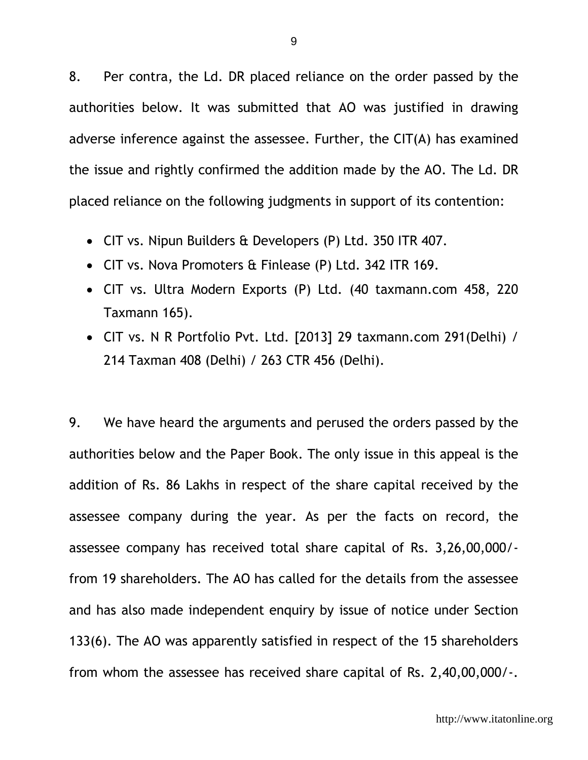8. Per contra, the Ld. DR placed reliance on the order passed by the authorities below. It was submitted that AO was justified in drawing adverse inference against the assessee. Further, the CIT(A) has examined the issue and rightly confirmed the addition made by the AO. The Ld. DR placed reliance on the following judgments in support of its contention:

- CIT vs. Nipun Builders & Developers (P) Ltd. 350 ITR 407.
- CIT vs. Nova Promoters & Finlease (P) Ltd. 342 ITR 169.
- CIT vs. Ultra Modern Exports (P) Ltd. (40 taxmann.com 458, 220 Taxmann 165).
- CIT vs. N R Portfolio Pvt. Ltd. [2013] 29 taxmann.com 291(Delhi) / 214 Taxman 408 (Delhi) / 263 CTR 456 (Delhi).

9. We have heard the arguments and perused the orders passed by the authorities below and the Paper Book. The only issue in this appeal is the addition of Rs. 86 Lakhs in respect of the share capital received by the assessee company during the year. As per the facts on record, the assessee company has received total share capital of Rs. 3,26,00,000/ from 19 shareholders. The AO has called for the details from the assessee and has also made independent enquiry by issue of notice under Section 133(6). The AO was apparently satisfied in respect of the 15 shareholders from whom the assessee has received share capital of Rs. 2,40,00,000/-.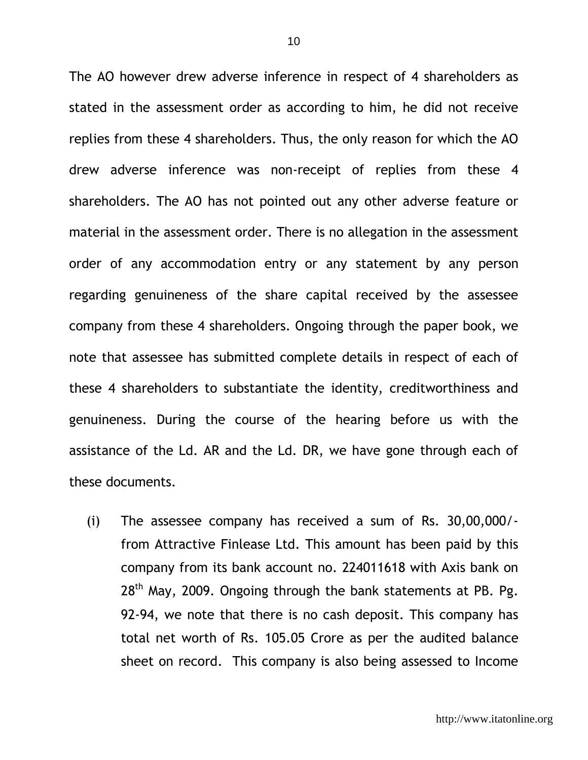The AO however drew adverse inference in respect of 4 shareholders as stated in the assessment order as according to him, he did not receive replies from these 4 shareholders. Thus, the only reason for which the AO drew adverse inference was non-receipt of replies from these 4 shareholders. The AO has not pointed out any other adverse feature or material in the assessment order. There is no allegation in the assessment order of any accommodation entry or any statement by any person regarding genuineness of the share capital received by the assessee company from these 4 shareholders. Ongoing through the paper book, we note that assessee has submitted complete details in respect of each of these 4 shareholders to substantiate the identity, creditworthiness and genuineness. During the course of the hearing before us with the assistance of the Ld. AR and the Ld. DR, we have gone through each of these documents.

(i) The assessee company has received a sum of Rs. 30,00,000/ from Attractive Finlease Ltd. This amount has been paid by this company from its bank account no. 224011618 with Axis bank on 28<sup>th</sup> May, 2009. Ongoing through the bank statements at PB. Pg. 92-94, we note that there is no cash deposit. This company has total net worth of Rs. 105.05 Crore as per the audited balance sheet on record. This company is also being assessed to Income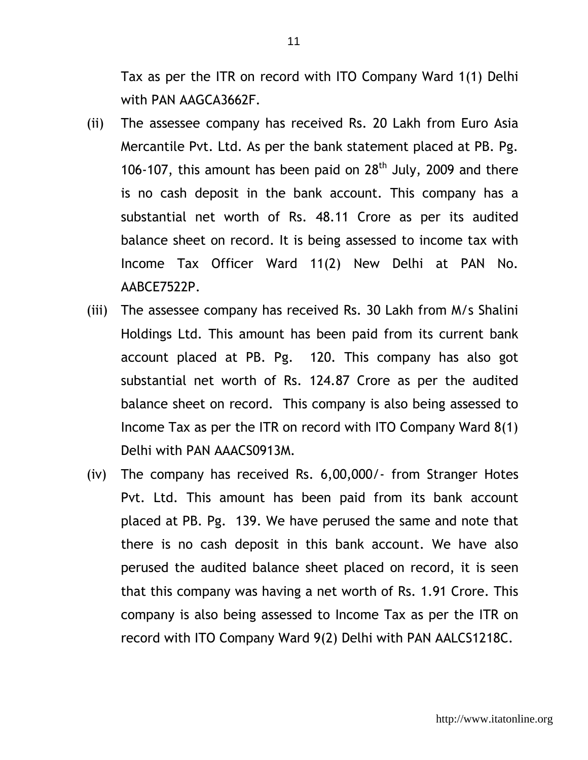Tax as per the ITR on record with ITO Company Ward 1(1) Delhi with PAN AAGCA3662F.

- (ii) The assessee company has received Rs. 20 Lakh from Euro Asia Mercantile Pvt. Ltd. As per the bank statement placed at PB. Pg. 106-107, this amount has been paid on  $28<sup>th</sup>$  July, 2009 and there is no cash deposit in the bank account. This company has a substantial net worth of Rs. 48.11 Crore as per its audited balance sheet on record. It is being assessed to income tax with Income Tax Officer Ward 11(2) New Delhi at PAN No. AABCE7522P.
- (iii) The assessee company has received Rs. 30 Lakh from M/s Shalini Holdings Ltd. This amount has been paid from its current bank account placed at PB. Pg. 120. This company has also got substantial net worth of Rs. 124.87 Crore as per the audited balance sheet on record. This company is also being assessed to Income Tax as per the ITR on record with ITO Company Ward 8(1) Delhi with PAN AAACS0913M.
- (iv) The company has received Rs. 6,00,000/- from Stranger Hotes Pvt. Ltd. This amount has been paid from its bank account placed at PB. Pg. 139. We have perused the same and note that there is no cash deposit in this bank account. We have also perused the audited balance sheet placed on record, it is seen that this company was having a net worth of Rs. 1.91 Crore. This company is also being assessed to Income Tax as per the ITR on record with ITO Company Ward 9(2) Delhi with PAN AALCS1218C.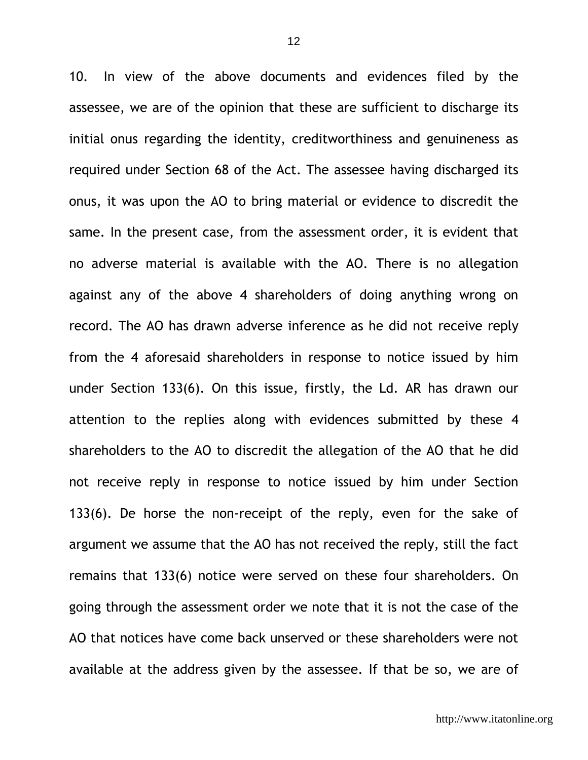10. In view of the above documents and evidences filed by the assessee, we are of the opinion that these are sufficient to discharge its initial onus regarding the identity, creditworthiness and genuineness as required under Section 68 of the Act. The assessee having discharged its onus, it was upon the AO to bring material or evidence to discredit the same. In the present case, from the assessment order, it is evident that no adverse material is available with the AO. There is no allegation against any of the above 4 shareholders of doing anything wrong on record. The AO has drawn adverse inference as he did not receive reply from the 4 aforesaid shareholders in response to notice issued by him under Section 133(6). On this issue, firstly, the Ld. AR has drawn our attention to the replies along with evidences submitted by these 4 shareholders to the AO to discredit the allegation of the AO that he did not receive reply in response to notice issued by him under Section 133(6). De horse the non-receipt of the reply, even for the sake of argument we assume that the AO has not received the reply, still the fact remains that 133(6) notice were served on these four shareholders. On going through the assessment order we note that it is not the case of the AO that notices have come back unserved or these shareholders were not available at the address given by the assessee. If that be so, we are of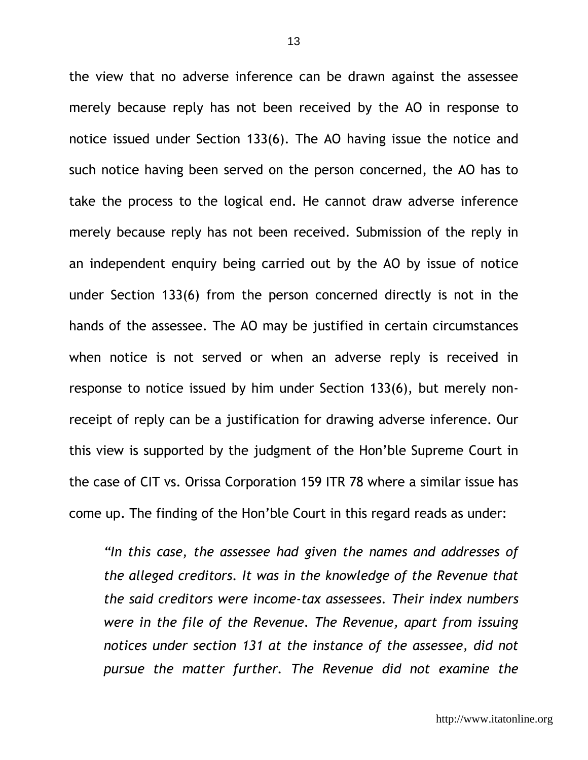the view that no adverse inference can be drawn against the assessee merely because reply has not been received by the AO in response to notice issued under Section 133(6). The AO having issue the notice and such notice having been served on the person concerned, the AO has to take the process to the logical end. He cannot draw adverse inference merely because reply has not been received. Submission of the reply in an independent enquiry being carried out by the AO by issue of notice under Section 133(6) from the person concerned directly is not in the hands of the assessee. The AO may be justified in certain circumstances when notice is not served or when an adverse reply is received in response to notice issued by him under Section 133(6), but merely nonreceipt of reply can be a justification for drawing adverse inference. Our this view is supported by the judgment of the Hon'ble Supreme Court in the case of CIT vs. Orissa Corporation 159 ITR 78 where a similar issue has come up. The finding of the Hon'ble Court in this regard reads as under:

*"In this case, the assessee had given the names and addresses of the alleged creditors. It was in the knowledge of the Revenue that the said creditors were income-tax assessees. Their index numbers were in the file of the Revenue. The Revenue, apart from issuing notices under section 131 at the instance of the assessee, did not pursue the matter further. The Revenue did not examine the*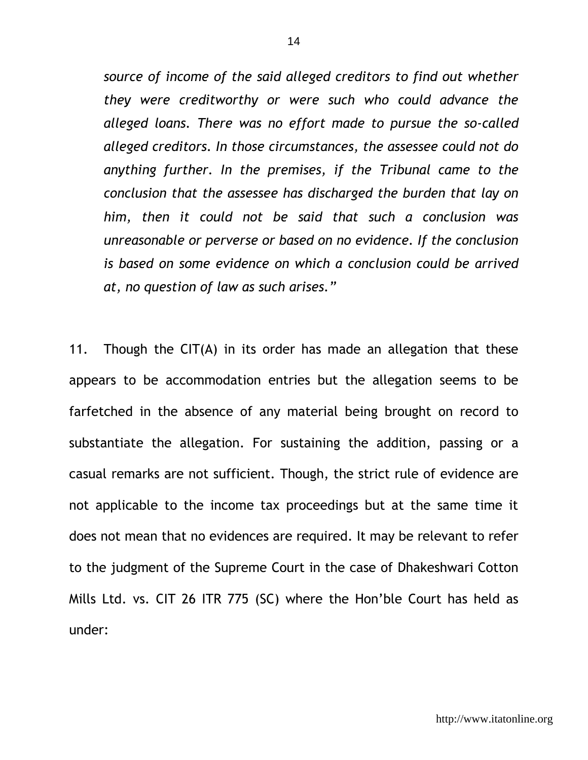*source of income of the said alleged creditors to find out whether they were creditworthy or were such who could advance the alleged loans. There was no effort made to pursue the so-called alleged creditors. In those circumstances, the assessee could not do anything further. In the premises, if the Tribunal came to the conclusion that the assessee has discharged the burden that lay on him, then it could not be said that such a conclusion was unreasonable or perverse or based on no evidence. If the conclusion is based on some evidence on which a conclusion could be arrived at, no question of law as such arises."*

11. Though the CIT(A) in its order has made an allegation that these appears to be accommodation entries but the allegation seems to be farfetched in the absence of any material being brought on record to substantiate the allegation. For sustaining the addition, passing or a casual remarks are not sufficient. Though, the strict rule of evidence are not applicable to the income tax proceedings but at the same time it does not mean that no evidences are required. It may be relevant to refer to the judgment of the Supreme Court in the case of Dhakeshwari Cotton Mills Ltd. vs. CIT 26 ITR 775 (SC) where the Hon'ble Court has held as under: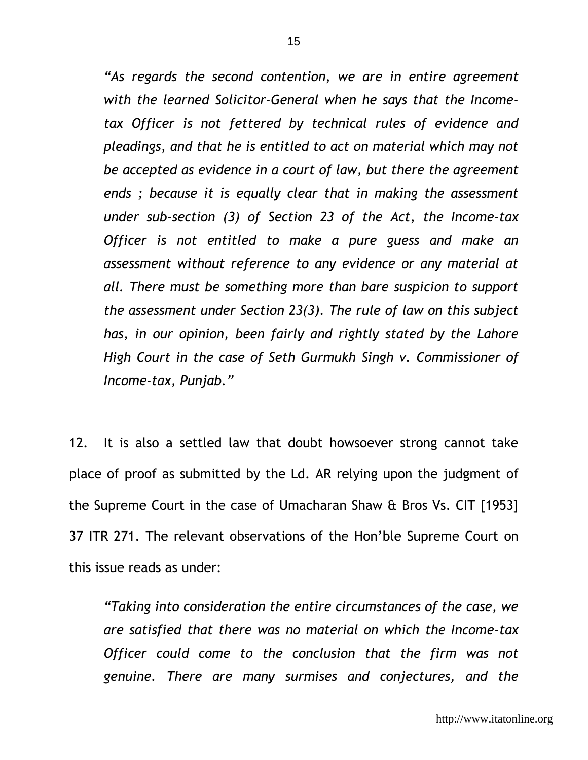*"As regards the second contention, we are in entire agreement with the learned Solicitor-General when he says that the Incometax Officer is not fettered by technical rules of evidence and pleadings, and that he is entitled to act on material which may not be accepted as evidence in a court of law, but there the agreement ends ; because it is equally clear that in making the assessment under sub-section (3) of Section 23 of the Act, the Income-tax Officer is not entitled to make a pure guess and make an assessment without reference to any evidence or any material at all. There must be something more than bare suspicion to support the assessment under Section 23(3). The rule of law on this subject has, in our opinion, been fairly and rightly stated by the Lahore High Court in the case of Seth Gurmukh Singh v. Commissioner of Income-tax, Punjab."*

12. It is also a settled law that doubt howsoever strong cannot take place of proof as submitted by the Ld. AR relying upon the judgment of the Supreme Court in the case of Umacharan Shaw & Bros Vs. CIT [1953] 37 ITR 271. The relevant observations of the Hon'ble Supreme Court on this issue reads as under:

*"Taking into consideration the entire circumstances of the case, we are satisfied that there was no material on which the Income-tax Officer could come to the conclusion that the firm was not genuine. There are many surmises and conjectures, and the*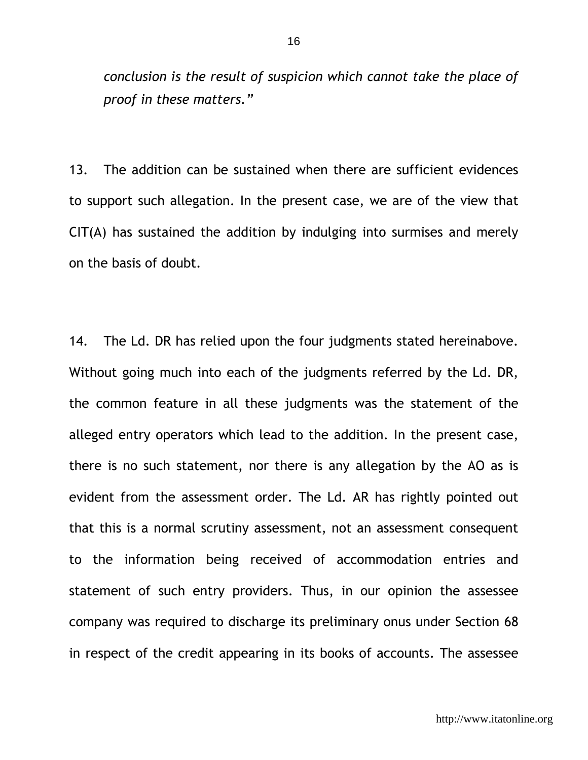*conclusion is the result of suspicion which cannot take the place of proof in these matters."*

13. The addition can be sustained when there are sufficient evidences to support such allegation. In the present case, we are of the view that CIT(A) has sustained the addition by indulging into surmises and merely on the basis of doubt.

14. The Ld. DR has relied upon the four judgments stated hereinabove. Without going much into each of the judgments referred by the Ld. DR, the common feature in all these judgments was the statement of the alleged entry operators which lead to the addition. In the present case, there is no such statement, nor there is any allegation by the AO as is evident from the assessment order. The Ld. AR has rightly pointed out that this is a normal scrutiny assessment, not an assessment consequent to the information being received of accommodation entries and statement of such entry providers. Thus, in our opinion the assessee company was required to discharge its preliminary onus under Section 68 in respect of the credit appearing in its books of accounts. The assessee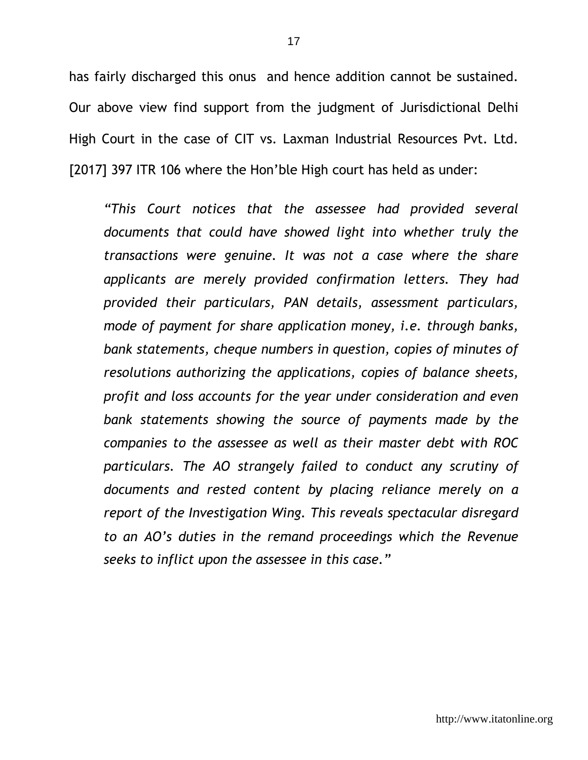has fairly discharged this onus and hence addition cannot be sustained. Our above view find support from the judgment of Jurisdictional Delhi High Court in the case of CIT vs. Laxman Industrial Resources Pvt. Ltd. [2017] 397 ITR 106 where the Hon'ble High court has held as under:

*"This Court notices that the assessee had provided several documents that could have showed light into whether truly the transactions were genuine. It was not a case where the share applicants are merely provided confirmation letters. They had provided their particulars, PAN details, assessment particulars, mode of payment for share application money, i.e. through banks, bank statements, cheque numbers in question, copies of minutes of resolutions authorizing the applications, copies of balance sheets, profit and loss accounts for the year under consideration and even bank statements showing the source of payments made by the companies to the assessee as well as their master debt with ROC particulars. The AO strangely failed to conduct any scrutiny of documents and rested content by placing reliance merely on a report of the Investigation Wing. This reveals spectacular disregard to an AO's duties in the remand proceedings which the Revenue seeks to inflict upon the assessee in this case."*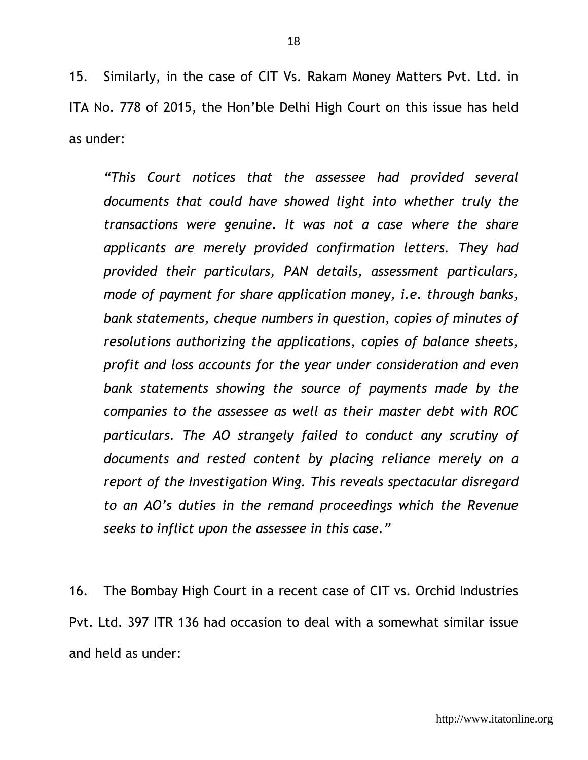15. Similarly, in the case of CIT Vs. Rakam Money Matters Pvt. Ltd. in ITA No. 778 of 2015, the Hon'ble Delhi High Court on this issue has held as under:

*"This Court notices that the assessee had provided several documents that could have showed light into whether truly the transactions were genuine. It was not a case where the share applicants are merely provided confirmation letters. They had provided their particulars, PAN details, assessment particulars, mode of payment for share application money, i.e. through banks, bank statements, cheque numbers in question, copies of minutes of resolutions authorizing the applications, copies of balance sheets, profit and loss accounts for the year under consideration and even bank statements showing the source of payments made by the companies to the assessee as well as their master debt with ROC particulars. The AO strangely failed to conduct any scrutiny of documents and rested content by placing reliance merely on a report of the Investigation Wing. This reveals spectacular disregard to an AO's duties in the remand proceedings which the Revenue seeks to inflict upon the assessee in this case."*

16. The Bombay High Court in a recent case of CIT vs. Orchid Industries Pvt. Ltd. 397 ITR 136 had occasion to deal with a somewhat similar issue and held as under: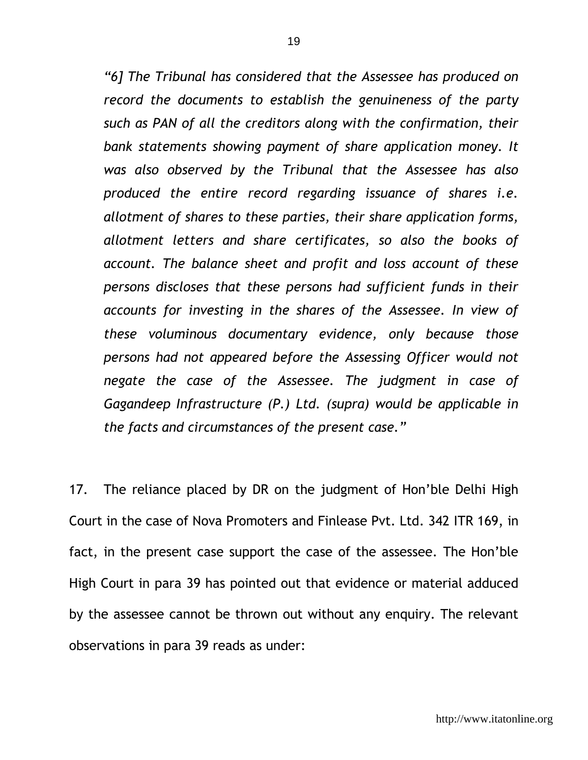*"6] The Tribunal has considered that the Assessee has produced on record the documents to establish the genuineness of the party such as PAN of all the creditors along with the confirmation, their bank statements showing payment of share application money. It was also observed by the Tribunal that the Assessee has also produced the entire record regarding issuance of shares i.e. allotment of shares to these parties, their share application forms, allotment letters and share certificates, so also the books of account. The balance sheet and profit and loss account of these persons discloses that these persons had sufficient funds in their accounts for investing in the shares of the Assessee. In view of these voluminous documentary evidence, only because those persons had not appeared before the Assessing Officer would not negate the case of the Assessee. The judgment in case of Gagandeep Infrastructure (P.) Ltd. (supra) would be applicable in the facts and circumstances of the present case."*

17. The reliance placed by DR on the judgment of Hon'ble Delhi High Court in the case of Nova Promoters and Finlease Pvt. Ltd. 342 ITR 169, in fact, in the present case support the case of the assessee. The Hon'ble High Court in para 39 has pointed out that evidence or material adduced by the assessee cannot be thrown out without any enquiry. The relevant observations in para 39 reads as under: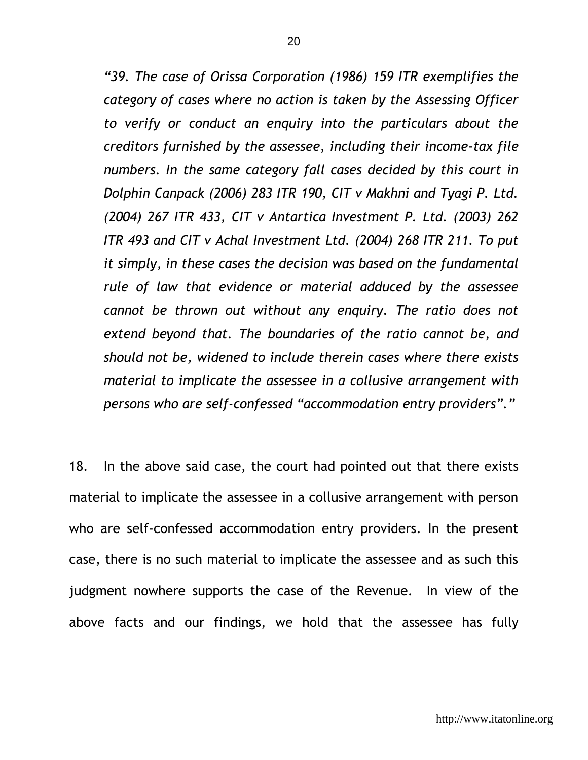*"39. The case of Orissa Corporation (1986) 159 ITR exemplifies the category of cases where no action is taken by the Assessing Officer to verify or conduct an enquiry into the particulars about the creditors furnished by the assessee, including their income-tax file*  numbers. In the same category fall cases decided by this court in *Dolphin Canpack (2006) 283 ITR 190, CIT v Makhni and Tyagi P. Ltd. (2004) 267 ITR 433, CIT v Antartica Investment P. Ltd. (2003) 262 ITR 493 and CIT v Achal Investment Ltd. (2004) 268 ITR 211. To put it simply, in these cases the decision was based on the fundamental rule of law that evidence or material adduced by the assessee cannot be thrown out without any enquiry. The ratio does not extend beyond that. The boundaries of the ratio cannot be, and should not be, widened to include therein cases where there exists material to implicate the assessee in a collusive arrangement with persons who are self-confessed "accommodation entry providers"."*

18. In the above said case, the court had pointed out that there exists material to implicate the assessee in a collusive arrangement with person who are self-confessed accommodation entry providers. In the present case, there is no such material to implicate the assessee and as such this judgment nowhere supports the case of the Revenue. In view of the above facts and our findings, we hold that the assessee has fully